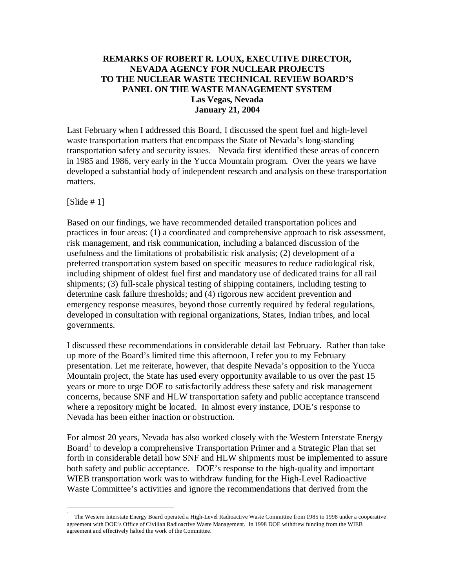### **REMARKS OF ROBERT R. LOUX, EXECUTIVE DIRECTOR, NEVADA AGENCY FOR NUCLEAR PROJECTS TO THE NUCLEAR WASTE TECHNICAL REVIEW BOARD'S PANEL ON THE WASTE MANAGEMENT SYSTEM Las Vegas, Nevada January 21, 2004**

Last February when I addressed this Board, I discussed the spent fuel and high-level waste transportation matters that encompass the State of Nevada's long-standing transportation safety and security issues. Nevada first identified these areas of concern in 1985 and 1986, very early in the Yucca Mountain program. Over the years we have developed a substantial body of independent research and analysis on these transportation matters.

 $[S$ lide # 1]

 $\overline{a}$ 

Based on our findings, we have recommended detailed transportation polices and practices in four areas: (1) a coordinated and comprehensive approach to risk assessment, risk management, and risk communication, including a balanced discussion of the usefulness and the limitations of probabilistic risk analysis; (2) development of a preferred transportation system based on specific measures to reduce radiological risk, including shipment of oldest fuel first and mandatory use of dedicated trains for all rail shipments; (3) full-scale physical testing of shipping containers, including testing to determine cask failure thresholds; and (4) rigorous new accident prevention and emergency response measures, beyond those currently required by federal regulations, developed in consultation with regional organizations, States, Indian tribes, and local governments.

I discussed these recommendations in considerable detail last February. Rather than take up more of the Board's limited time this afternoon, I refer you to my February presentation. Let me reiterate, however, that despite Nevada's opposition to the Yucca Mountain project, the State has used every opportunity available to us over the past 15 years or more to urge DOE to satisfactorily address these safety and risk management concerns, because SNF and HLW transportation safety and public acceptance transcend where a repository might be located. In almost every instance, DOE's response to Nevada has been either inaction or obstruction.

For almost 20 years, Nevada has also worked closely with the Western Interstate Energy Board<sup>1</sup> to develop a comprehensive Transportation Primer and a Strategic Plan that set forth in considerable detail how SNF and HLW shipments must be implemented to assure both safety and public acceptance. DOE's response to the high-quality and important WIEB transportation work was to withdraw funding for the High-Level Radioactive Waste Committee's activities and ignore the recommendations that derived from the

<span id="page-0-0"></span><sup>1</sup> The Western Interstate Energy Board operated a High-Level Radioactive Waste Committee from 1985 to 1998 under a cooperative agreement with DOE's Office of Civilian Radioactive Waste Management. In 1998 DOE withdrew funding from the WIEB agreement and effectively halted the work of the Committee.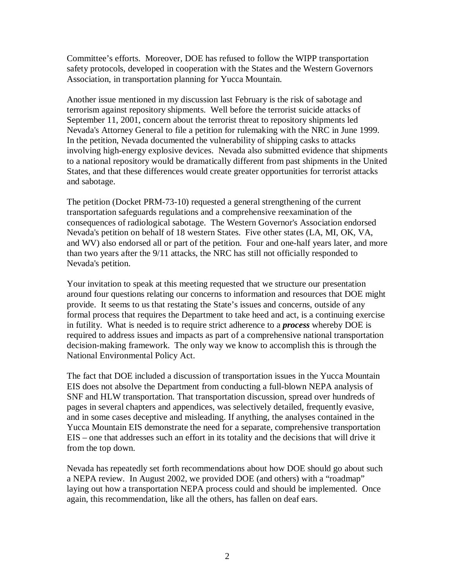Committee's efforts. Moreover, DOE has refused to follow the WIPP transportation safety protocols, developed in cooperation with the States and the Western Governors Association, in transportation planning for Yucca Mountain.

Another issue mentioned in my discussion last February is the risk of sabotage and terrorism against repository shipments. Well before the terrorist suicide attacks of September 11, 2001, concern about the terrorist threat to repository shipments led Nevada's Attorney General to file a petition for rulemaking with the NRC in June 1999. In the petition, Nevada documented the vulnerability of shipping casks to attacks involving high-energy explosive devices. Nevada also submitted evidence that shipments to a national repository would be dramatically different from past shipments in the United States, and that these differences would create greater opportunities for terrorist attacks and sabotage.

The petition (Docket PRM-73-10) requested a general strengthening of the current transportation safeguards regulations and a comprehensive reexamination of the consequences of radiological sabotage. The Western Governor's Association endorsed Nevada's petition on behalf of 18 western States. Five other states (LA, MI, OK, VA, and WV) also endorsed all or part of the petition. Four and one-half years later, and more than two years after the 9/11 attacks, the NRC has still not officially responded to Nevada's petition.

Your invitation to speak at this meeting requested that we structure our presentation around four questions relating our concerns to information and resources that DOE might provide. It seems to us that restating the State's issues and concerns, outside of any formal process that requires the Department to take heed and act, is a continuing exercise in futility. What is needed is to require strict adherence to a *process* whereby DOE is required to address issues and impacts as part of a comprehensive national transportation decision-making framework. The only way we know to accomplish this is through the National Environmental Policy Act.

The fact that DOE included a discussion of transportation issues in the Yucca Mountain EIS does not absolve the Department from conducting a full-blown NEPA analysis of SNF and HLW transportation. That transportation discussion, spread over hundreds of pages in several chapters and appendices, was selectively detailed, frequently evasive, and in some cases deceptive and misleading. If anything, the analyses contained in the Yucca Mountain EIS demonstrate the need for a separate, comprehensive transportation EIS – one that addresses such an effort in its totality and the decisions that will drive it from the top down.

Nevada has repeatedly set forth recommendations about how DOE should go about such a NEPA review. In August 2002, we provided DOE (and others) with a "roadmap" laying out how a transportation NEPA process could and should be implemented. Once again, this recommendation, like all the others, has fallen on deaf ears.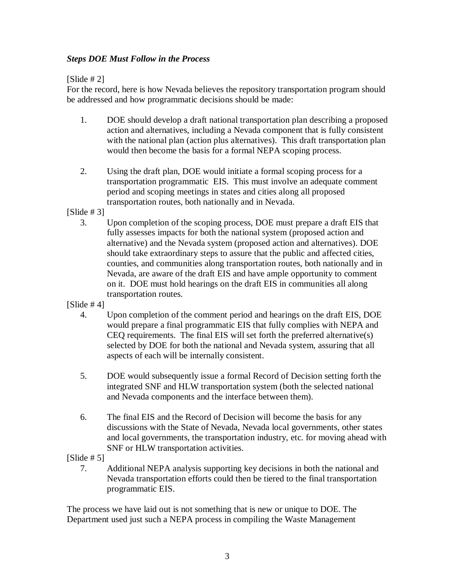## *Steps DOE Must Follow in the Process*

## $[S]$

For the record, here is how Nevada believes the repository transportation program should be addressed and how programmatic decisions should be made:

- 1. DOE should develop a draft national transportation plan describing a proposed action and alternatives, including a Nevada component that is fully consistent with the national plan (action plus alternatives). This draft transportation plan would then become the basis for a formal NEPA scoping process.
- 2. Using the draft plan, DOE would initiate a formal scoping process for a transportation programmatic EIS. This must involve an adequate comment period and scoping meetings in states and cities along all proposed transportation routes, both nationally and in Nevada.

 $[S]$ 

- 3. Upon completion of the scoping process, DOE must prepare a draft EIS that fully assesses impacts for both the national system (proposed action and alternative) and the Nevada system (proposed action and alternatives). DOE should take extraordinary steps to assure that the public and affected cities, counties, and communities along transportation routes, both nationally and in Nevada, are aware of the draft EIS and have ample opportunity to comment on it. DOE must hold hearings on the draft EIS in communities all along transportation routes.
- $[S]$ lide #4]
	- 4. Upon completion of the comment period and hearings on the draft EIS, DOE would prepare a final programmatic EIS that fully complies with NEPA and CEQ requirements. The final EIS will set forth the preferred alternative(s) selected by DOE for both the national and Nevada system, assuring that all aspects of each will be internally consistent.
	- 5. DOE would subsequently issue a formal Record of Decision setting forth the integrated SNF and HLW transportation system (both the selected national and Nevada components and the interface between them).
	- 6. The final EIS and the Record of Decision will become the basis for any discussions with the State of Nevada, Nevada local governments, other states and local governments, the transportation industry, etc. for moving ahead with SNF or HLW transportation activities.

 $[S]$ 

7. Additional NEPA analysis supporting key decisions in both the national and Nevada transportation efforts could then be tiered to the final transportation programmatic EIS.

The process we have laid out is not something that is new or unique to DOE. The Department used just such a NEPA process in compiling the Waste Management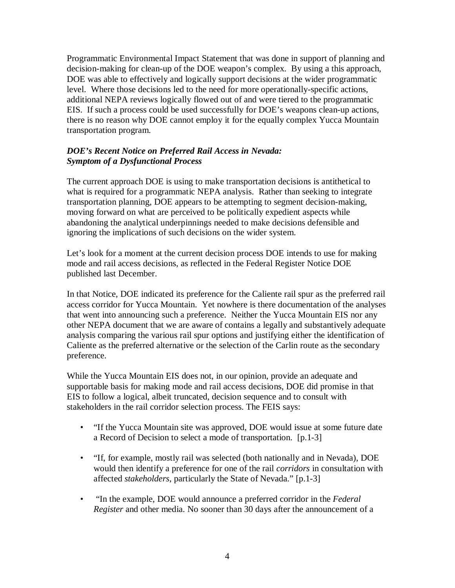Programmatic Environmental Impact Statement that was done in support of planning and decision-making for clean-up of the DOE weapon's complex. By using a this approach, DOE was able to effectively and logically support decisions at the wider programmatic level. Where those decisions led to the need for more operationally-specific actions, additional NEPA reviews logically flowed out of and were tiered to the programmatic EIS. If such a process could be used successfully for DOE's weapons clean-up actions, there is no reason why DOE cannot employ it for the equally complex Yucca Mountain transportation program.

## *DOE's Recent Notice on Preferred Rail Access in Nevada: Symptom of a Dysfunctional Process*

The current approach DOE is using to make transportation decisions is antithetical to what is required for a programmatic NEPA analysis. Rather than seeking to integrate transportation planning, DOE appears to be attempting to segment decision-making, moving forward on what are perceived to be politically expedient aspects while abandoning the analytical underpinnings needed to make decisions defensible and ignoring the implications of such decisions on the wider system.

Let's look for a moment at the current decision process DOE intends to use for making mode and rail access decisions, as reflected in the Federal Register Notice DOE published last December.

In that Notice, DOE indicated its preference for the Caliente rail spur as the preferred rail access corridor for Yucca Mountain. Yet nowhere is there documentation of the analyses that went into announcing such a preference. Neither the Yucca Mountain EIS nor any other NEPA document that we are aware of contains a legally and substantively adequate analysis comparing the various rail spur options and justifying either the identification of Caliente as the preferred alternative or the selection of the Carlin route as the secondary preference.

While the Yucca Mountain EIS does not, in our opinion, provide an adequate and supportable basis for making mode and rail access decisions, DOE did promise in that EIS to follow a logical, albeit truncated, decision sequence and to consult with stakeholders in the rail corridor selection process. The FEIS says:

- "If the Yucca Mountain site was approved, DOE would issue at some future date a Record of Decision to select a mode of transportation. [p.1-3]
- "If, for example, mostly rail was selected (both nationally and in Nevada), DOE would then identify a preference for one of the rail *corridors* in consultation with affected *stakeholders*, particularly the State of Nevada." [p.1-3]
- "In the example, DOE would announce a preferred corridor in the *Federal Register* and other media. No sooner than 30 days after the announcement of a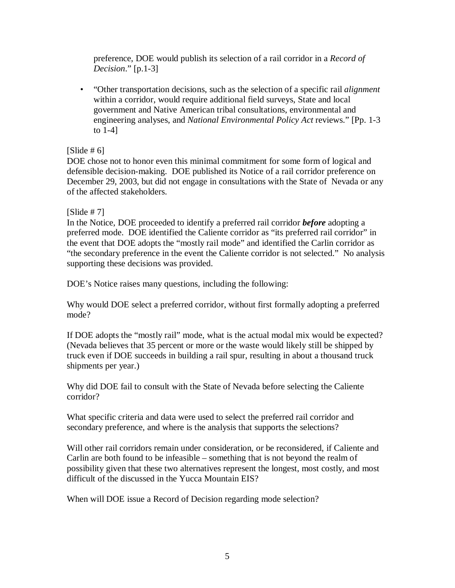preference, DOE would publish its selection of a rail corridor in a *Record of Decision*." [p.1-3]

• "Other transportation decisions, such as the selection of a specific rail *alignment* within a corridor, would require additional field surveys, State and local government and Native American tribal consultations, environmental and engineering analyses, and *National Environmental Policy Act* reviews." [Pp. 1-3 to 1-4]

 $[S]$ [\[Slide # 6\]](#page-7-0)

DOE chose not to honor even this minimal commitment for some form of logical and defensible decision-making. DOE published its Notice of a rail corridor preference on December 29, 2003, but did not engage in consultations with the State of Nevada or any of the affected stakeholders.

### $[S]$ lide #7]

In the Notice, DOE proceeded to identify a preferred rail corridor *before* adopting a preferred mode. DOE identified the Caliente corridor as "its preferred rail corridor" in the event that DOE adopts the "mostly rail mode" and identified the Carlin corridor as "the secondary preference in the event the Caliente corridor is not selected." No analysis supporting these decisions was provided.

DOE's Notice raises many questions, including the following:

Why would DOE select a preferred corridor, without first formally adopting a preferred mode?

If DOE adopts the "mostly rail" mode, what is the actual modal mix would be expected? (Nevada believes that 35 percent or more or the waste would likely still be shipped by truck even if DOE succeeds in building a rail spur, resulting in about a thousand truck shipments per year.)

Why did DOE fail to consult with the State of Nevada before selecting the Caliente corridor?

What specific criteria and data were used to select the preferred rail corridor and secondary preference, and where is the analysis that supports the selections?

Will other rail corridors remain under consideration, or be reconsidered, if Caliente and Carlin are both found to be infeasible – something that is not beyond the realm of possibility given that these two alternatives represent the longest, most costly, and most difficult of the discussed in the Yucca Mountain EIS?

When will DOE issue a Record of Decision regarding mode selection?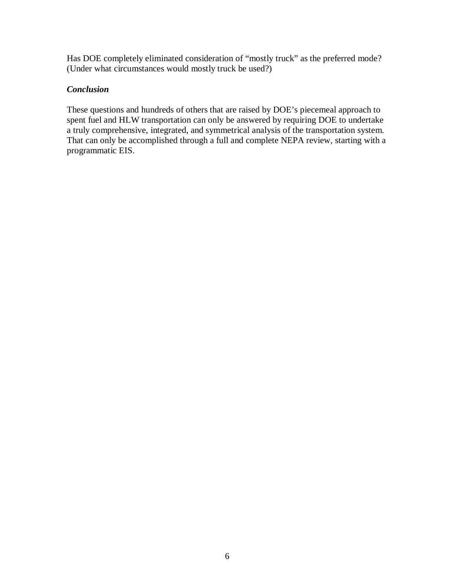Has DOE completely eliminated consideration of "mostly truck" as the preferred mode? (Under what circumstances would mostly truck be used?)

# *Conclusion*

These questions and hundreds of others that are raised by DOE's piecemeal approach to spent fuel and HLW transportation can only be answered by requiring DOE to undertake a truly comprehensive, integrated, and symmetrical analysis of the transportation system. That can only be accomplished through a full and complete NEPA review, starting with a programmatic EIS.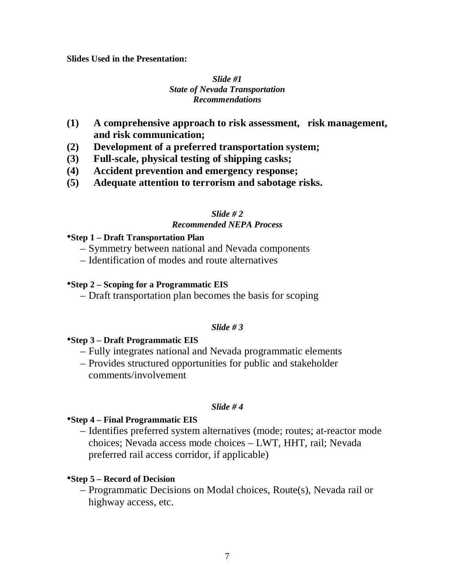#### <span id="page-6-0"></span>**Slides Used in the Presentation:**

### *Slide #1 State of Nevada Transportation Recommendations*

- **(1) A comprehensive approach to risk assessment, risk management, and risk communication;**
- **(2) Development of a preferred transportation system;**
- **(3) Full-scale, physical testing of shipping casks;**
- **(4) Accident prevention and emergency response;**
- **(5) Adequate attention to terrorism and sabotage risks.**

## *Slide # 2*

### *Recommended NEPA Process*

### •**Step 1 – Draft Transportation Plan**

- Symmetry between national and Nevada components
- Identification of modes and route alternatives

### •**Step 2 – Scoping for a Programmatic EIS**

– Draft transportation plan becomes the basis for scoping

### *Slide # 3*

## •**Step 3 – Draft Programmatic EIS**

- Fully integrates national and Nevada programmatic elements
- Provides structured opportunities for public and stakeholder comments/involvement

### *Slide # 4*

## •**Step 4 – Final Programmatic EIS**

– Identifies preferred system alternatives (mode; routes; at-reactor mode choices; Nevada access mode choices – LWT, HHT, rail; Nevada preferred rail access corridor, if applicable)

## •**Step 5 – Record of Decision**

– Programmatic Decisions on Modal choices, Route(s), Nevada rail or highway access, etc.